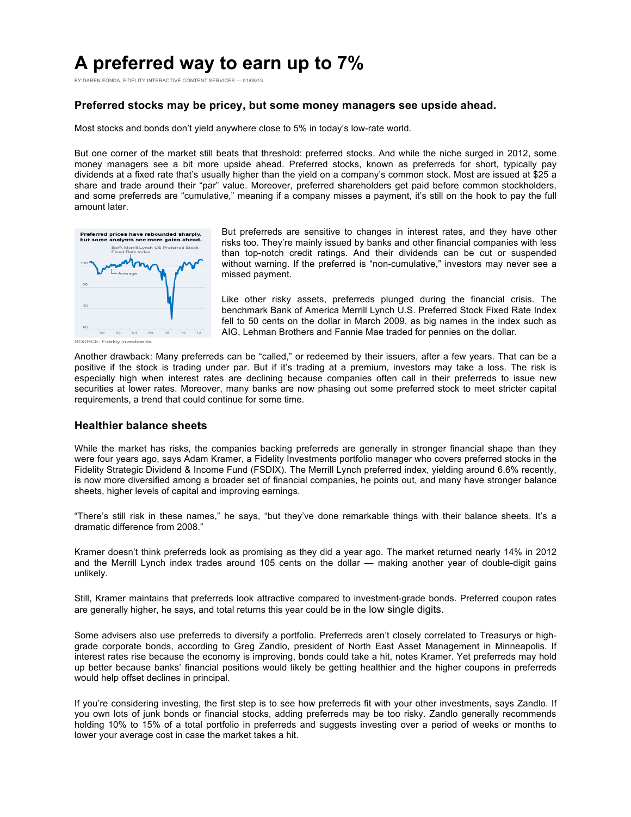# **A preferred way to earn up to 7%**

BY DAREN FONDA, FIDELITY INTERACTIVE CONTENT SERVICES — 01/08/13

# **Preferred stocks may be pricey, but some money managers see upside ahead.**

Most stocks and bonds don't yield anywhere close to 5% in today's low-rate world.

But one corner of the market still beats that threshold: preferred stocks. And while the niche surged in 2012, some money managers see a bit more upside ahead. Preferred stocks, known as preferreds for short, typically pay dividends at a fixed rate that's usually higher than the yield on a company's common stock. Most are issued at \$25 a share and trade around their "par" value. Moreover, preferred shareholders get paid before common stockholders, and some preferreds are "cumulative," meaning if a company misses a payment, it's still on the hook to pay the full amount later.



But preferreds are sensitive to changes in interest rates, and they have other risks too. They're mainly issued by banks and other financial companies with less than top-notch credit ratings. And their dividends can be cut or suspended without warning. If the preferred is "non-cumulative," investors may never see a missed payment.

Like other risky assets, preferreds plunged during the financial crisis. The benchmark Bank of America Merrill Lynch U.S. Preferred Stock Fixed Rate Index fell to 50 cents on the dollar in March 2009, as big names in the index such as AIG, Lehman Brothers and Fannie Mae traded for pennies on the dollar.

SOURCE: Fidelity Investments

Another drawback: Many preferreds can be "called," or redeemed by their issuers, after a few years. That can be a positive if the stock is trading under par. But if it's trading at a premium, investors may take a loss. The risk is especially high when interest rates are declining because companies often call in their preferreds to issue new securities at lower rates. Moreover, many banks are now phasing out some preferred stock to meet stricter capital requirements, a trend that could continue for some time.

## **Healthier balance sheets**

While the market has risks, the companies backing preferreds are generally in stronger financial shape than they were four years ago, says Adam Kramer, a Fidelity Investments portfolio manager who covers preferred stocks in the Fidelity Strategic Dividend & Income Fund (FSDIX). The Merrill Lynch preferred index, yielding around 6.6% recently, is now more diversified among a broader set of financial companies, he points out, and many have stronger balance sheets, higher levels of capital and improving earnings.

"There's still risk in these names," he says, "but they've done remarkable things with their balance sheets. It's a dramatic difference from 2008."

Kramer doesn't think preferreds look as promising as they did a year ago. The market returned nearly 14% in 2012 and the Merrill Lynch index trades around 105 cents on the dollar — making another year of double-digit gains unlikely.

Still, Kramer maintains that preferreds look attractive compared to investment-grade bonds. Preferred coupon rates are generally higher, he says, and total returns this year could be in the low single digits.

Some advisers also use preferreds to diversify a portfolio. Preferreds aren't closely correlated to Treasurys or highgrade corporate bonds, according to Greg Zandlo, president of North East Asset Management in Minneapolis. If interest rates rise because the economy is improving, bonds could take a hit, notes Kramer. Yet preferreds may hold up better because banks' financial positions would likely be getting healthier and the higher coupons in preferreds would help offset declines in principal.

If you're considering investing, the first step is to see how preferreds fit with your other investments, says Zandlo. If you own lots of junk bonds or financial stocks, adding preferreds may be too risky. Zandlo generally recommends holding 10% to 15% of a total portfolio in preferreds and suggests investing over a period of weeks or months to lower your average cost in case the market takes a hit.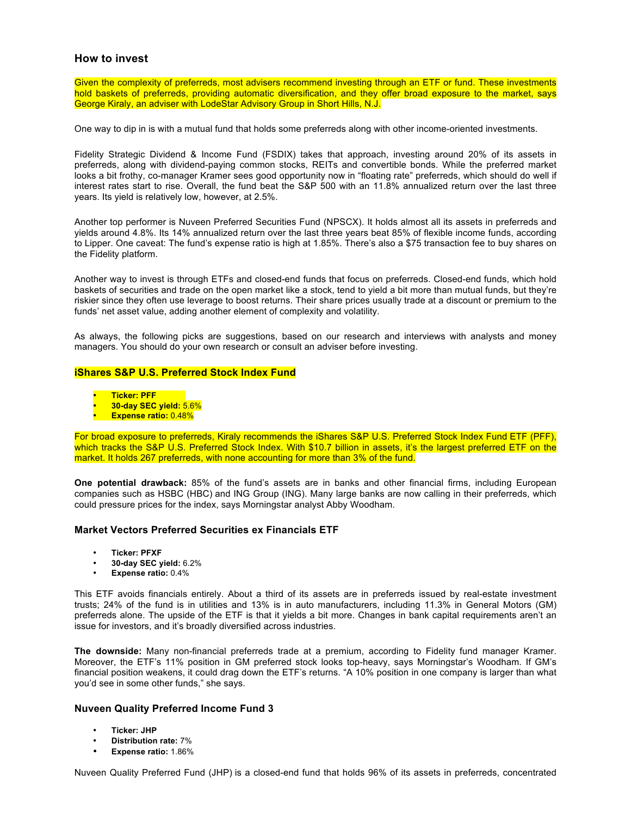# **How to invest**

Given the complexity of preferreds, most advisers recommend investing through an ETF or fund. These investments hold baskets of preferreds, providing automatic diversification, and they offer broad exposure to the market, says George Kiraly, an adviser with LodeStar Advisory Group in Short Hills, N.J.

One way to dip in is with a mutual fund that holds some preferreds along with other income-oriented investments.

Fidelity Strategic Dividend & Income Fund (FSDIX) takes that approach, investing around 20% of its assets in preferreds, along with dividend-paying common stocks, REITs and convertible bonds. While the preferred market looks a bit frothy, co-manager Kramer sees good opportunity now in "floating rate" preferreds, which should do well if interest rates start to rise. Overall, the fund beat the S&P 500 with an 11.8% annualized return over the last three years. Its yield is relatively low, however, at 2.5%.

Another top performer is Nuveen Preferred Securities Fund (NPSCX). It holds almost all its assets in preferreds and yields around 4.8%. Its 14% annualized return over the last three years beat 85% of flexible income funds, according to Lipper. One caveat: The fund's expense ratio is high at 1.85%. There's also a \$75 transaction fee to buy shares on the Fidelity platform.

Another way to invest is through ETFs and closed-end funds that focus on preferreds. Closed-end funds, which hold baskets of securities and trade on the open market like a stock, tend to yield a bit more than mutual funds, but they're riskier since they often use leverage to boost returns. Their share prices usually trade at a discount or premium to the funds' net asset value, adding another element of complexity and volatility.

As always, the following picks are suggestions, based on our research and interviews with analysts and money managers. You should do your own research or consult an adviser before investing.

#### **iShares S&P U.S. Preferred Stock Index Fund**

- **Ticker: PFF**
- **30-day SEC yield:** 5.6%
- **Expense ratio:** 0.48%

For broad exposure to preferreds, Kiraly recommends the iShares S&P U.S. Preferred Stock Index Fund ETF (PFF), which tracks the S&P U.S. Preferred Stock Index. With \$10.7 billion in assets, it's the largest preferred ETF on the market. It holds 267 preferreds, with none accounting for more than 3% of the fund.

**One potential drawback:** 85% of the fund's assets are in banks and other financial firms, including European companies such as HSBC (HBC) and ING Group (ING). Many large banks are now calling in their preferreds, which could pressure prices for the index, says Morningstar analyst Abby Woodham.

## **Market Vectors Preferred Securities ex Financials ETF**

- **Ticker: PFXF**
- **30-day SEC yield:** 6.2%
- **Expense ratio:** 0.4%

This ETF avoids financials entirely. About a third of its assets are in preferreds issued by real-estate investment trusts; 24% of the fund is in utilities and 13% is in auto manufacturers, including 11.3% in General Motors (GM) preferreds alone. The upside of the ETF is that it yields a bit more. Changes in bank capital requirements aren't an issue for investors, and it's broadly diversified across industries.

**The downside:** Many non-financial preferreds trade at a premium, according to Fidelity fund manager Kramer. Moreover, the ETF's 11% position in GM preferred stock looks top-heavy, says Morningstar's Woodham. If GM's financial position weakens, it could drag down the ETF's returns. "A 10% position in one company is larger than what you'd see in some other funds," she says.

## **Nuveen Quality Preferred Income Fund 3**

- **Ticker: JHP**
- **Distribution rate:** 7%
- **Expense ratio:** 1.86%

Nuveen Quality Preferred Fund (JHP) is a closed-end fund that holds 96% of its assets in preferreds, concentrated